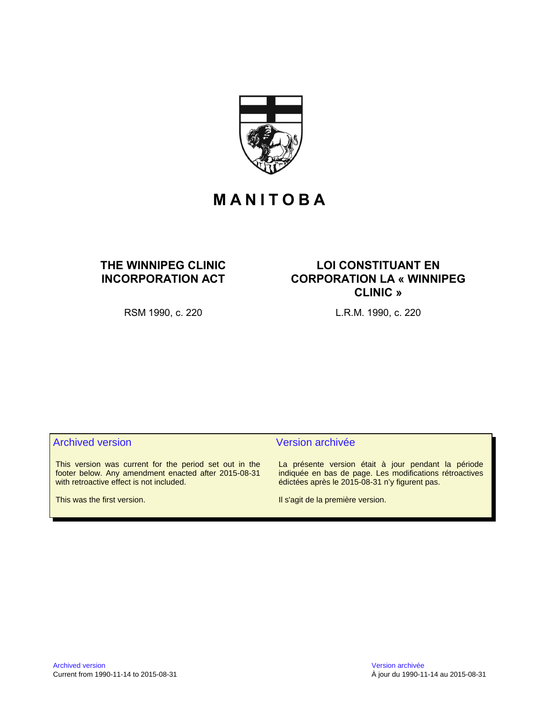

# **M A N I T O B A**

## **THE WINNIPEG CLINIC INCORPORATION ACT**

## **LOI CONSTITUANT EN CORPORATION LA « WINNIPEG CLINIC »**

RSM 1990, c. 220 L.R.M. 1990, c. 220

This version was current for the period set out in the footer below. Any amendment enacted after 2015-08-31 with retroactive effect is not included.

This was the first version.

### Archived version and version archivée

La présente version était à jour pendant la période indiquée en bas de page. Les modifications rétroactives édictées après le 2015-08-31 n'y figurent pas.

Il s'agit de la première version.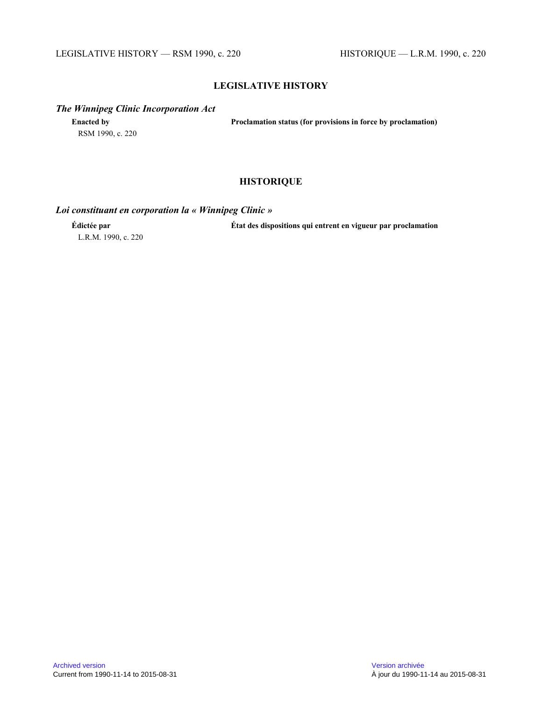### **LEGISLATIVE HISTORY**

#### *The Winnipeg Clinic Incorporation Act*

**Enacted by Proclamation status (for provisions in force by proclamation)** RSM 1990, c. 220

## **HISTORIQUE**

## *Loi constituant en corporation la « Winnipeg Clinic »*

L.R.M. 1990, c. 220

**Édictée par État des dispositions qui entrent en vigueur par proclamation**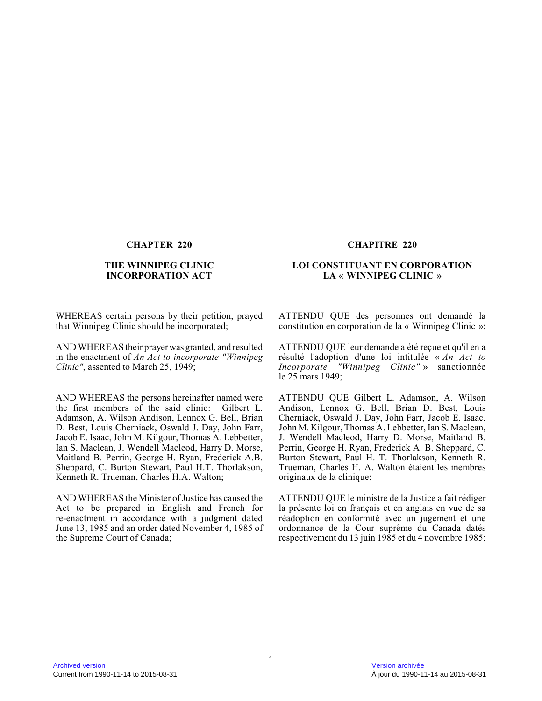#### **THE WINNIPEG CLINIC INCORPORATION ACT**

WHEREAS certain persons by their petition, prayed that Winnipeg Clinic should be incorporated;

AND WHEREAS their prayer was granted, and resulted in the enactment of *An Act to incorporate "Winnipeg Clinic"*, assented to March 25, 1949;

AND WHEREAS the persons hereinafter named were the first members of the said clinic: Gilbert L. Adamson, A. Wilson Andison, Lennox G. Bell, Brian D. Best, Louis Cherniack, Oswald J. Day, John Farr, Jacob E. Isaac, John M. Kilgour, Thomas A. Lebbetter, Ian S. Maclean, J. Wendell Macleod, Harry D. Morse, Maitland B. Perrin, George H. Ryan, Frederick A.B. Sheppard, C. Burton Stewart, Paul H.T. Thorlakson, Kenneth R. Trueman, Charles H.A. Walton;

AND WHEREAS the Minister of Justice has caused the Act to be prepared in English and French for re-enactment in accordance with a judgment dated June 13, 1985 and an order dated November 4, 1985 of the Supreme Court of Canada;

#### **CHAPTER 220 CHAPITRE 220**

#### **LOI CONSTITUANT EN CORPORATION LA « WINNIPEG CLINIC »**

ATTENDU QUE des personnes ont demandé la constitution en corporation de la « Winnipeg Clinic »;

ATTENDU QUE leur demande a été reçue et qu'il en a résulté l'adoption d'une loi intitulée « *An Act to Incorporate "Winnipeg Clinic"* » sanctionnée le 25 mars 1949;

ATTENDU QUE Gilbert L. Adamson, A. Wilson Andison, Lennox G. Bell, Brian D. Best, Louis Cherniack, Oswald J. Day, John Farr, Jacob E. Isaac , John M. Kilgour, Thomas A. Lebbetter, Ian S. Maclean, J. Wendell Macleod, Harry D. Morse, Maitland B. Perrin, George H. Ryan, Frederick A. B. Sheppard, C. Burton Stewart, Paul H. T. Thorlakson, Kenneth R. Trueman, Charles H. A. Walton étaient les membres originaux de la clinique;

ATTENDU QUE le ministre de la Justice a fait rédige r la présente loi en français et en anglais en vue de sa réadoption en conformité avec un jugement et une ordonnance de la Cour suprême du Canada datés respectivement du 13 juin 1985 et du 4 novembre 1985;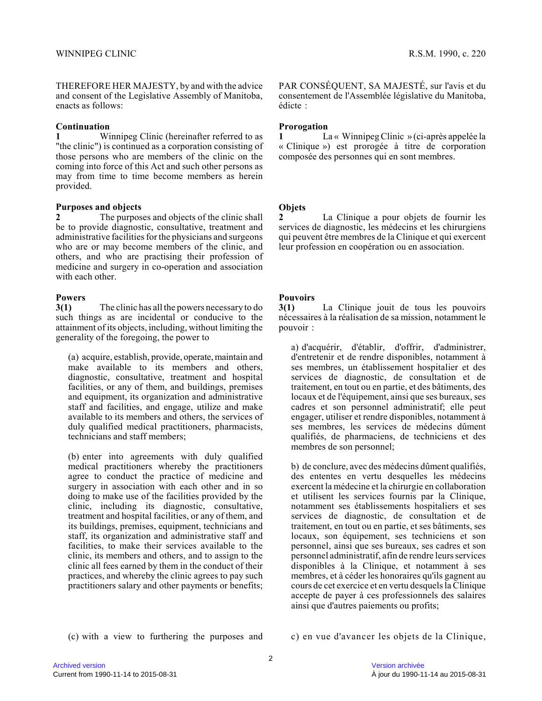THEREFORE HER MAJESTY, by and with the advice and consent of the Legislative Assembly of Manitoba, enacts as follows:

#### **Continuation**

**1** Winnipeg Clinic (hereinafter referred to as "the clinic") is continued as a corporation consisting of those persons who are members of the clinic on the coming into force of this Act and such other persons as may from time to time become members as herein provided.

#### **Purposes and objects**

**2** The purposes and objects of the clinic shall be to provide diagnostic, consultative, treatment and administrative facilities for the physicians and surgeons who are or may become members of the clinic, and others, and who are practising their profession of medicine and surgery in co-operation and associatio n with each other

#### **Powers**

**3(1)** The clinic has all the powers necessary to do such things as are incidental or conducive to the attainment of its objects, including, without limiting the generality of the foregoing, the power to

(a) acquire, establish, provide, operate, maintain and make available to its members and others, diagnostic, consultative, treatment and hospital facilities, or any of them, and buildings, premises and equipment, its organization and administrative staff and facilities, and engage, utilize and make available to its members and others, the services of duly qualified medical practitioners, pharmacists, technicians and staff members;

(b) enter into agreements with duly qualified medical practitioners whereby the practitioners agree to conduct the practice of medicine and surgery in association with each other and in so doing to make use of the facilities provided by the clinic, including its diagnostic, consultative, treatment and hospital facilities, or any of them, and its buildings, premises, equipment, technicians and staff, its organization and administrative staff and facilities, to make their services available to the clinic, its members and others, and to assign to th e clinic all fees earned by them in the conduct of their practices, and whereby the clinic agrees to pay suc h practitioners salary and other payments or benefits; PAR CONSÉQUENT, SA MAJESTÉ, sur l'avis et du consentement de l'Assemblée législative du Manitoba, édicte :

### **Prorogation**

**1** La « Winnipeg Clinic » (ci-après appelée la « Clinique ») est prorogée à titre de corporation composée des personnes qui en sont membres.

### **Objets**

**2** La Clinique a pour objets de fournir les services de diagnostic, les médecins et les chirurgiens qui peuvent être membres de la Clinique et qui exercent leur profession en coopération ou en association.

### **Pouvoirs**

**3(1)** La Clinique jouit de tous les pouvoirs nécessaires à la réalisation de sa mission, notamment le pouvoir :

a) d'acquérir, d'établir, d'offrir, d'administrer, d'entretenir et de rendre disponibles, notamment à ses membres, un établissement hospitalier et des services de diagnostic, de consultation et de traitement, en tout ou en partie, et des bâtiments, des locaux et de l'équipement, ainsi que ses bureaux, ses cadres et son personnel administratif; elle peut engager, utiliser et rendre disponibles, notamment à ses membres, les services de médecins dûment qualifiés, de pharmaciens, de techniciens et des membres de son personnel;

b) de conclure, avec des médecins dûment qualifiés, des ententes en vertu desquelles les médecins exercent la médecine et la chirurgie en collaboration et utilisent les services fournis par la Clinique, notamment ses établissements hospitaliers et ses services de diagnostic, de consultation et de traitement, en tout ou en partie, et ses bâtiments, ses locaux, son équipement, ses techniciens et son personnel, ainsi que ses bureaux, ses cadres et son personnel administratif, afin de rendre leurs services disponibles à la Clinique, et notamment à ses membres, et à céder les honoraires qu'ils gagnent a u cours de cet exercice et en vertu desquels la Clinique accepte de payer à ces professionnels des salaires ainsi que d'autres paiements ou profits;

(c) with a view to furthering the purposes and c) en vue d'avancer les objets de la Clinique,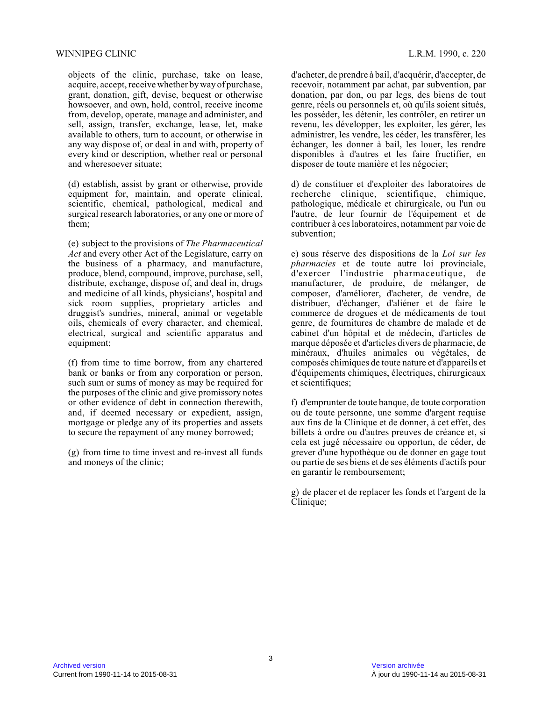#### WINNIPEG CLINIC L.R.M. 1990, c. 220

objects of the clinic, purchase, take on lease, acquire, accept, receive whether by way of purchase, grant, donation, gift, devise, bequest or otherwise howsoever, and own, hold, control, receive income from, develop, operate, manage and administer, and sell, assign, transfer, exchange, lease, let, make available to others, turn to account, or otherwise i n any way dispose of, or deal in and with, property o f every kind or description, whether real or personal and wheresoever situate;

(d) establish, assist by grant or otherwise, provide equipment for, maintain, and operate clinical, scientific, chemical, pathological, medical and surgical research laboratories, or any one or more of them;

(e) subject to the provisions of *The Pharmaceutical Act* and every other Act of the Legislature, carry on the business of a pharmacy, and manufacture, produce, blend, compound, improve, purchase, sell, distribute, exchange, dispose of, and deal in, drug s and medicine of all kinds, physicians', hospital an d sick room supplies, proprietary articles and druggist's sundries, mineral, animal or vegetable oils, chemicals of every character, and chemical, electrical, surgical and scientific apparatus and equipment;

(f) from time to time borrow, from any chartered bank or banks or from any corporation or person, such sum or sums of money as may be required for the purposes of the clinic and give promissory notes or other evidence of debt in connection therewith, and, if deemed necessary or expedient, assign, mortgage or pledge any of its properties and assets to secure the repayment of any money borrowed;

(g) from time to time invest and re-invest all funds and moneys of the clinic;

d'acheter, de prendre à bail, d'acquérir, d'accepter, de recevoir, notamment par achat, par subvention, par donation, par don, ou par legs, des biens de tout genre, réels ou personnels et, où qu'ils soient situés, les posséder, les détenir, les contrôler, en retirer un revenu, les développer, les exploiter, les gérer, les administrer, les vendre, les céder, les transférer, le s échanger, les donner à bail, les louer, les rendre disponibles à d'autres et les faire fructifier, en disposer de toute manière et les négocier;

d) de constituer et d'exploiter des laboratoires de recherche clinique, scientifique, chimique, pathologique, médicale et chirurgicale, ou l'un ou l'autre, de leur fournir de l'équipement et de contribuer à ces laboratoires, notamment par voie de subvention;

e) sous réserve des dispositions de la *Loi sur les pharmacies* et de toute autre loi provinciale, d'exercer l'industrie pharmaceutique, de manufacturer, de produire, de mélanger, de composer, d'améliorer, d'acheter, de vendre, de distribuer, d'échanger, d'aliéner et de faire le commerce de drogues et de médicaments de tout genre, de fournitures de chambre de malade et de cabinet d'un hôpital et de médecin, d'articles de marque déposée et d'articles divers de pharmacie, de minéraux, d'huiles animales ou végétales, de composés chimiques de toute nature et d'appareils e t d'équipements chimiques, électriques, chirurgicaux et scientifiques;

f) d'emprunter de toute banque, de toute corporation ou de toute personne, une somme d'argent requise aux fins de la Clinique et de donner, à cet effet, des billets à ordre ou d'autres preuves de créance et, s i cela est jugé nécessaire ou opportun, de céder, de grever d'une hypothèque ou de donner en gage tout ou partie de ses biens et de ses éléments d'actifs pour en garantir le remboursement;

g) de placer et de replacer les fonds et l'argent de la Clinique;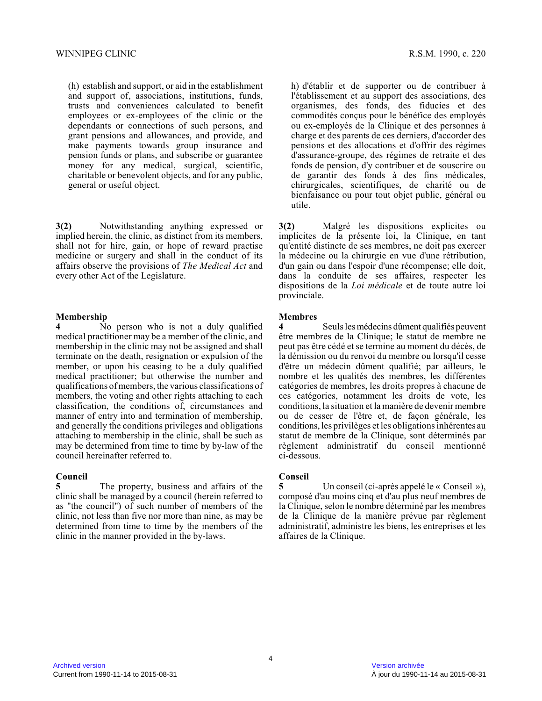(h) establish and support, or aid in the establishment and support of, associations, institutions, funds, trusts and conveniences calculated to benefit employees or ex-employees of the clinic or the dependants or connections of such persons, and grant pensions and allowances, and provide, and make payments towards group insurance and pension funds or plans, and subscribe or guarantee money for any medical, surgical, scientific, charitable or benevolent objects, and for any public , general or useful object.

**3(2)** Notwithstanding anything expressed or implied herein, the clinic, as distinct from its members, shall not for hire, gain, or hope of reward practis e medicine or surgery and shall in the conduct of its affairs observe the provisions of *The Medical Act* and every other Act of the Legislature.

#### **Membership**

**4** No person who is not a duly qualified medical practitioner may be a member of the clinic, and membership in the clinic may not be assigned and shall terminate on the death, resignation or expulsion of the member, or upon his ceasing to be a duly qualified medical practitioner; but otherwise the number and qualifications of members, the various classifications of members, the voting and other rights attaching to each classification, the conditions of, circumstances an d manner of entry into and termination of membership, and generally the conditions privileges and obligations attaching to membership in the clinic, shall be such as may be determined from time to time by by-law of th e council hereinafter referred to.

#### **Council**

**5** The property, business and affairs of the clinic shall be managed by a council (herein referred to as "the council") of such number of members of the clinic, not less than five nor more than nine, as may be determined from time to time by the members of the clinic in the manner provided in the by-laws.

h) d'établir et de supporter ou de contribuer à l'établissement et au support des associations, des organismes, des fonds, des fiducies et des commodités conçus pour le bénéfice des employés ou ex-employés de la Clinique et des personnes à charge et des parents de ces derniers, d'accorder des pensions et des allocations et d'offrir des régimes d'assurance-groupe, des régimes de retraite et des fonds de pension, d'y contribuer et de souscrire ou de garantir des fonds à des fins médicales, chirurgicales, scientifiques, de charité ou de bienfaisance ou pour tout objet public, général ou utile.

**3(2)** Malgré les dispositions explicites ou implicites de la présente loi, la Clinique, en tant qu'entité distincte de ses membres, ne doit pas exercer la médecine ou la chirurgie en vue d'une rétribution, d'un gain ou dans l'espoir d'une récompense; elle doit, dans la conduite de ses affaires, respecter les dispositions de la *Loi médicale* et de toute autre loi provinciale.

#### **Membres**

**4** Seuls les médecins dûment qualifiés peuvent être membres de la Clinique; le statut de membre ne peut pas être cédé et se termine au moment du décès, de la démission ou du renvoi du membre ou lorsqu'il cesse d'être un médecin dûment qualifié; par ailleurs, le nombre et les qualités des membres, les différentes catégories de membres, les droits propres à chacune de ces catégories, notamment les droits de vote, les conditions, la situation et la manière de devenir membre ou de cesser de l'être et, de façon générale, les conditions, les privilèges et les obligations inhérentes au statut de membre de la Clinique, sont déterminés pa r règlement administratif du conseil mentionné ci-dessous.

### **Conseil**

Un conseil (ci-après appelé le « Conseil »), composé d'au moins cinq et d'au plus neuf membres d e la Clinique, selon le nombre déterminé par les membres de la Clinique de la manière prévue par règlement administratif, administre les biens, les entreprises et les affaires de la Clinique.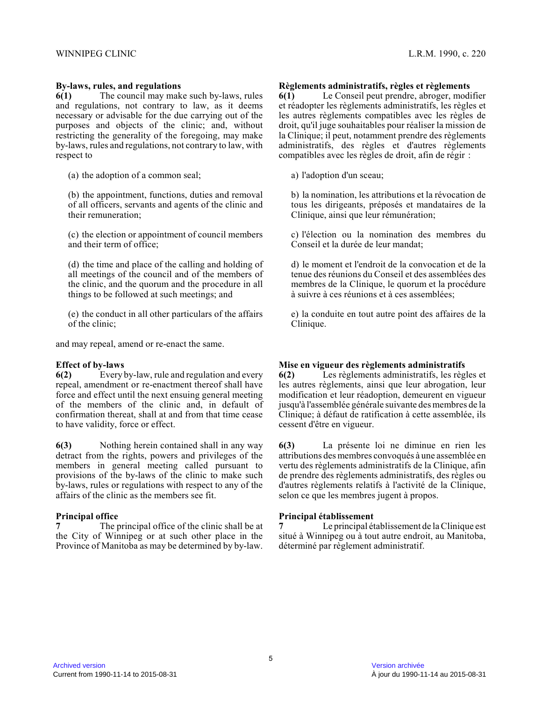#### **By-laws, rules, and regulations**

**6(1)** The council may make such by-laws, rules and regulations, not contrary to law, as it deems necessary or advisable for the due carrying out of the purposes and objects of the clinic; and, without restricting the generality of the foregoing, may make by-laws, rules and regulations, not contrary to law, with respect to

(a) the adoption of a common seal;

(b) the appointment, functions, duties and removal of all officers, servants and agents of the clinic and their remuneration;

(c) the election or appointment of council members and their term of office;

(d) the time and place of the calling and holding of all meetings of the council and of the members of the clinic, and the quorum and the procedure in all things to be followed at such meetings; and

(e) the conduct in all other particulars of the affairs of the clinic;

and may repeal, amend or re-enact the same.

#### **Effect of by-laws**

**6(2)** Every by-law, rule and regulation and every repeal, amendment or re-enactment thereof shall have force and effect until the next ensuing general meeting of the members of the clinic and, in default of confirmation thereat, shall at and from that time cease to have validity, force or effect.

**6(3)** Nothing herein contained shall in any way detract from the rights, powers and privileges of th e members in general meeting called pursuant to provisions of the by-laws of the clinic to make such by-laws, rules or regulations with respect to any of the affairs of the clinic as the members see fit.

# **Principal office**<br> **7** The r

**7** The principal office of the clinic shall be at the City of Winnipeg or at such other place in the Province of Manitoba as may be determined by by-law.

#### **Règlements administratifs, règles et règlements**

**6(1)** Le Conseil peut prendre, abroger, modifier et réadopter les règlements administratifs, les règles e t les autres règlements compatibles avec les règles de droit, qu'il juge souhaitables pour réaliser la mission de la Clinique; il peut, notamment prendre des règlements administratifs, des règles et d'autres règlements compatibles avec les règles de droit, afin de régir :

a) l'adoption d'un sceau;

b) la nomination, les attributions et la révocation d e tous les dirigeants, préposés et mandataires de la Clinique, ainsi que leur rémunération;

c) l'élection ou la nomination des membres du Conseil et la durée de leur mandat;

d) le moment et l'endroit de la convocation et de la tenue des réunions du Conseil et des assemblées des membres de la Clinique, le quorum et la procédure à suivre à ces réunions et à ces assemblées;

e) la conduite en tout autre point des affaires de l a Clinique.

#### **Mise en vigueur des règlements administratifs**

**6(2)** Les règlements administratifs, les règles et les autres règlements, ainsi que leur abrogation, leur modification et leur réadoption, demeurent en vigueu r jusqu'à l'assemblée générale suivante des membres de la Clinique; à défaut de ratification à cette assemblée, ils cessent d'être en vigueur.

**6(3)** La présente loi ne diminue en rien les attributions des membres convoqués à une assemblée e n vertu des règlements administratifs de la Clinique, afin de prendre des règlements administratifs, des règles ou d'autres règlements relatifs à l'activité de la Clinique, selon ce que les membres jugent à propos.

#### **Principal établissement**

**7** Le principal établissement de la Clinique est situé à Winnipeg ou à tout autre endroit, au Manitoba, déterminé par règlement administratif.